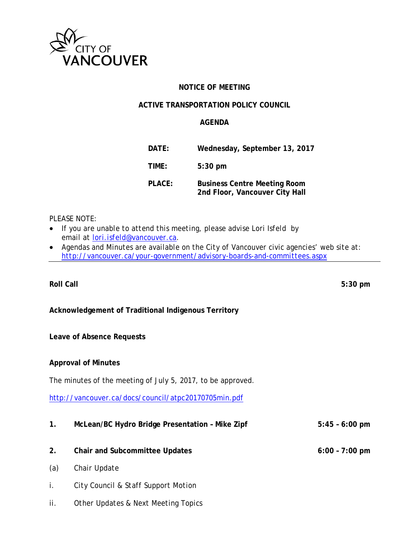

# **NOTICE OF MEETING**

## **ACTIVE TRANSPORTATION POLICY COUNCIL**

## **AGENDA**

| DATE:  | Wednesday, September 13, 2017                                         |
|--------|-----------------------------------------------------------------------|
| TIME:  | $5:30$ pm                                                             |
| PLACE: | <b>Business Centre Meeting Room</b><br>2nd Floor, Vancouver City Hall |

### *PLEASE NOTE:*

- *If you are unable to attend this meeting, please advise Lori Isfeld by email at [lori.isfeld@vancouver.ca.](mailto:lori.isfeld@vancouver.ca)*
- *Agendas and Minutes are available on the City of Vancouver civic agencies' web site at: <http://vancouver.ca/your-government/advisory-boards-and-committees.aspx>*

**Roll Call 5:30 pm**

# **Acknowledgement of Traditional Indigenous Territory**

# **Leave of Absence Requests**

**Approval of Minutes**

The minutes of the meeting of July 5, 2017, to be approved.

<http://vancouver.ca/docs/council/atpc20170705min.pdf>

- **1. McLean/BC Hydro Bridge Presentation Mike Zipf 5:45 6:00 pm**
- **2. Chair and Subcommittee Updates 6:00 7:00 pm**
- *(a) Chair Update*
- *i. City Council & Staff Support Motion*
- *ii. Other Updates & Next Meeting Topics*